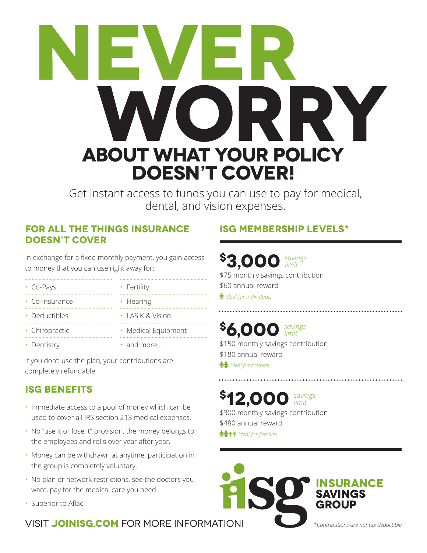# **about what your policy DOESN'T COVER!**

Get instant access to funds you can use to pay for medical, dental, and vision expenses.

#### **for all the things insurance doesn't cover**

In exchange for a fixed monthly payment, you gain access to money that you can use right away for:

- • Co-Pays • Fertility • Hearing • Co-Insurance
- Deductibles
- Chiropractic
- 

• Dentistry

- LASIK & Vision • Medical Equipment
- and more...

If you don't use the plan, your contributions are completely refundable.

# **ISG BENEFITS**

- Immediate access to a pool of money which can be used to cover all IRS section 213 medical expenses.
- No "use it or lose it" provision, the money belongs to the employees and rolls over year after year.
- Money can be withdrawn at anytime, participation in the group is completely voluntary.
- No plan or network restrictions, see the doctors you want, pay for the medical care you need.
- Superior to Aflac

### VISIT JOINISG.COM FOR MORE INFORMATION! *\*Contributions are not tax deductible*

# **ISG MEMBERSHIP LEVELS\***

# **\$3,000** *savings limit*

\$75 monthly savings contribution \$60 annual reward *Ideal for individuals*

#### **\$6,000** *savings limit* \$150 monthly savings contribution

\$180 annual reward **<sup></sup>** *Ideal for couples* 

#### **\$12,000** *savings limit* \$300 monthly savings contribution

\$480 annual reward **<sup></sup> <sup></sup>** *Ideal for families* 

ANCE